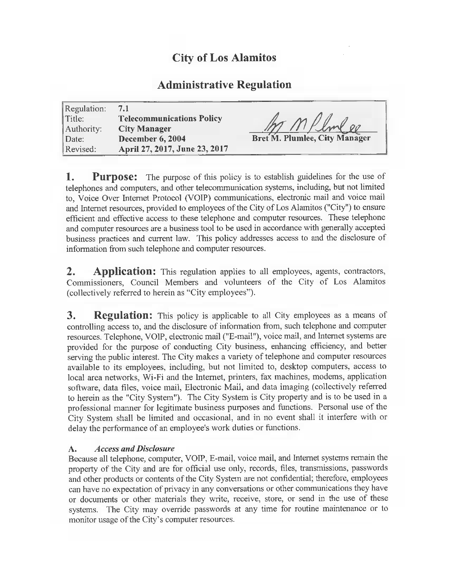# City of Los Alamitos

# Administrative Regulation

| Regulation:<br>Title:<br>Authority:<br>$\vert$ Date: | 7.1<br><b>Telecommunications Policy</b><br><b>City Manager</b><br><b>December 6, 2004</b> | Bret M. Plumlee, City Manager |
|------------------------------------------------------|-------------------------------------------------------------------------------------------|-------------------------------|
| Revised:                                             | April 27, 2017, June 23, 2017                                                             |                               |

**1.** Purpose: The purpose of this policy is to establish guidelines for the use of telephones and computers, and other telecommunication systems, including, but not limited to, Voice Over Internet Protocol ( VOIP) communications, electronic mail and voice mail and Internet resources, provided to employees of the City of Los Alamitos ("City") to ensure efficient and effective access to these telephone and computer resources. These telephone and computer resources are a business tool to be used in accordance with generally accepted business practices and current law. This policy addresses access to and the disclosure of information from such telephone and computer resources.

2. Application: This regulation applies to all employees, agents, contractors, Commissioners, Council Members and volunteers of the City of Los Alamitos (collectively referred to herein as "City employees").

**3.** Regulation: This policy is applicable to all City employees as a means of controlling access to, and the disclosure of information from, such telephone and computer resources. Telephone, VOIP, electronic mail (" E-mail"), voice mail, and Internet systems are provided for the purpose of conducting City business, enhancing efficiency, and better serving the public interest. The City makes <sup>a</sup> variety of telephone and computer resources available to its employees, including, but not limited to, desktop computers, access to local area networks, Wi-Fi and the Internet, printers, fax machines, modems, application software, data files, voice mail, Electronic Mail, and data imaging ( collectively referred to herein as the "City System"). The City System is City property and is to be used in a professional manner for legitimate business purposes and functions. Personal use of the City System shall be limited and occasional, and in no event shall it interfere with or delay the performance of an employee's work duties or functions.

## A. Access and Disclosure

Because all telephone, computer, VOIP, E-mail, voice mail, and Internet systems remain the property of the City and are for official use only, records, files, transmissions, passwords and other products or contents of the City System are not confidential; therefore, employees can have no expectation of privacy in any conversations or other communications they have or documents or other materials they write, receive, store, or send in the use of these systems. The City may override passwords at any time for routine maintenance or to monitor usage of the City's computer resources.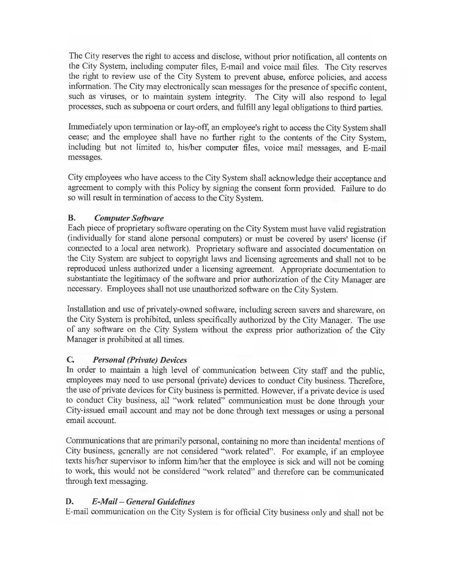The City reserves the right to access and disclose, without prior notification, all contents on the City System, including computer files, E-mail and voice mail files. The City reserves the right to review use of the City System to prevent abuse, enforce policies, and access information. The City may electronically scan messages for the presence of specific content, such as viruses, or to maintain system integrity. The City will also respond to legal processes, such as subpoena or court orders, and fulfill any legal obligations to third parties.

Immediately upon termination or lay-off, an employee's right to access the City System shall cease; and the employee shall have no further right to the contents of the City System, including but not limited to, his/her computer files, voice mail messages, and E-mail messages.

City employees who have access to the City System shall acknowledge their acceptance and agreement to comply with this Policy by signing the consent form provided. Failure to do so will result in termination of access to the City System.

# B. Computer Software

Each piece of proprietary software operating on the City System must have valid registration individually for stand alone personal computers) or must be covered by users' license ( if connected to a local area network). Proprietary software and associated documentation on the City System are subject to copyright laws and licensing agreements and shall not to be reproduced unless authorized under a licensing agreement. Appropriate documentation to substantiate the legitimacy of the software and prior authorization of the City Manager are necessary. Employees shall not use unauthorized software on the City System.

Installation and use of privately-owned software, including screen savers and shareware, on the City System is prohibited, unless specifically authorized by the City Manager. The use of any software on the City System without the express prior authorization of the City Manager is prohibited at all times.

## C. Personal (Private) Devices

In order to maintain <sup>a</sup> high level of communication between City staff and the public, employees may need to use personal ( private) devices to conduct City business. Therefore, the use of private devices for City business is permitted. However, if <sup>a</sup> private device is used to conduct City business, all "work related" communication must be done through your City-issued email account and may not be done through text messages or using a personal email account.

Communications that are primarily personal, containing no more than incidental mentions of City business, generally are not considered " work related". For example, if an employee texts his/her supervisor to inform him/her that the employee is sick and will not be coming to work, this would not be considered " work related" and therefore can be communicated through text messaging.

# D. E-Mail—General Guidelines

E-mail communication on the City System is for official City business only and shall not be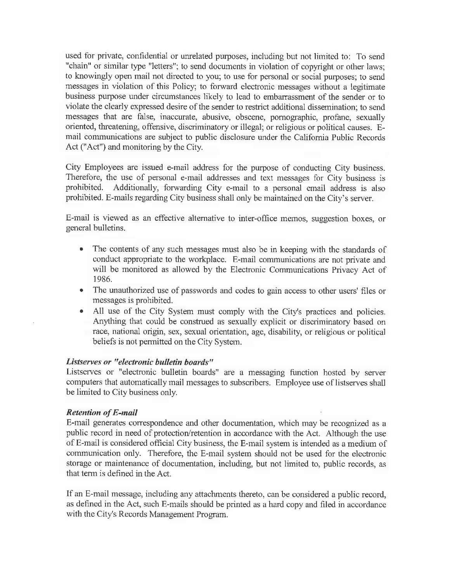used for private, confidential or unrelated purposes, including but not limited to: To send " chain" or similar type "letters"; to send documents in violation of copyright or other laws; to knowingly open mail not directed to you; to use for personal or social purposes; to send messages in violation of this Policy; to forward electronic messages without <sup>a</sup> legitimate business purpose under circumstances likely to lead to embarrassment of the sender or to violate the clearly expressed desire of the sender to restrict additional dissemination; to send messages that are false, inaccurate, abusive, obscene, pornographic, profane, sexually oriented, threatening, offensive, discriminatory or illegal; or religious or political causes. Email communications are subject to public disclosure under the California Public Records Act(" Act") and monitoring by the City.

City Employees are issued e-mail address for the purpose of conducting City business. Therefore, the use of personal e-mail addresses and text messages for City business is prohibited. Additionally, forwarding City e-mail to a personal email address is also Additionally, forwarding City e-mail to a personal email address is also prohibited. E-mails regarding City business shall only be maintained on the City's server.

E-mail is viewed as an effective alternative to inter- office memos, suggestion boxes, or general bulletins.

- $\bullet$ The contents of any such messages must also be in keeping with the standards of conduct appropriate to the workplace. E-mail communications are not private and will be monitored as allowed by the Electronic Communications Privacy Act of 1986.
- The unauthorized use of passwords and codes to gain access to other users' files or messages is prohibited.
- All use of the City System must comply with the City's practices and policies. Anything that could be construed as sexually explicit or discriminatory based on race, national origin, sex, sexual orientation, age, disability, or religious or political beliefs is not permitted on the City System.

#### Listserves or " electronic bulletin boards"

Listserves or "electronic bulletin boards" are a messaging function hosted by server computers that automatically mail messages to subscribers. Employee use of listserves shall be limited to City business only.

#### Retention of E-mail

E-mail generates correspondence and other documentation, which may be recognized as a public record in need of protection/retention in accordance with the Act. Although the use of E-mail is considered official City business, the E-mail system is intended as <sup>a</sup> medium of communication only. Therefore, the E-mail system should not be used for the electronic storage or maintenance of documentation, including, but not limited to, public records, as that term is defined in the Act.

If an E-mail message, including any attachments thereto, can be considered <sup>a</sup> public record, as defined in the Act, such E-mails should be printed as a hard copy and filed in accordance with the City's Records Management Program.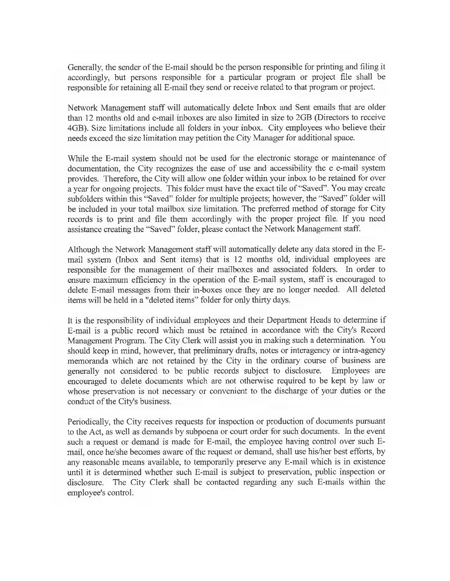Generally, the sender of the E-mail should be the person responsible for printing and filing it accordingly, but persons responsible for a particular program or project file shall be responsible for retaining all E-mail they send or receive related to that program or project.

Network Management staff will automatically delete Inbox and Sent emails that are older than 12 months old and e-mail inboxes are also limited in size to 2GB (Directors to receive 4GB). Size limitations include all folders in your inbox. City employees who believe their needs exceed the size limitation may petition the City Manager for additional space.

While the E-mail system should not be used for the electronic storage or maintenance of documentation, the City recognizes the ease of use and accessibility the <sup>e</sup> e-mail system provides. Therefore, the City will allow one folder within your inbox to be retained for over <sup>a</sup> year for ongoing projects. This folder must have the exact tile of" Saved". You may create subfolders within this "Saved" folder for multiple projects; however, the "Saved" folder will be included in your total mailbox size limitation. The preferred method of storage for City records is to print and file them accordingly with the proper project file. If you need assistance creating the "Saved" folder, please contact the Network Management staff.

Although the Network Management staff will automatically delete any data stored in the Email system ( Inbox and Sent items) that is 12 months old, individual employees are responsible for the management of their mailboxes and associated folders. In order to ensure maximum efficiency in the operation of the E-mail system, staff is encouraged to delete E-mail messages from their in-boxes once they are no longer needed. All deleted items will be held in a" deleted items" folder for only thirty days.

It is the responsibility of individual employees and their Department Heads to determine if E-mail is a public record which must be retained in accordance with the City's Record Management Program. The City Clerk will assist you in making such a determination. You should keep in mind, however, that preliminary drafts, notes or interagency or intra- agency memoranda which are not retained by the City in the ordinary course of business are generally not considered to be public records subject to disclosure. Employees are encouraged to delete documents which are not otherwise required to be kept by law or whose preservation is not necessary or convenient to the discharge of your duties or the conduct of the City's business.

Periodically, the City receives requests for inspection or production of documents pursuant to the Act, as well as demands by subpoena or court order for such documents. In the event such a request or demand is made for E-mail, the employee having control over such Email, once he/she becomes aware of the request or demand, shall use his/her best efforts, by any reasonable means available, to temporarily preserve any E-mail which is in existence until it is determined whether such E-mail is subject to preservation, public inspection or disclosure. The City Clerk shall be contacted regarding any such E-mails within the employee's control.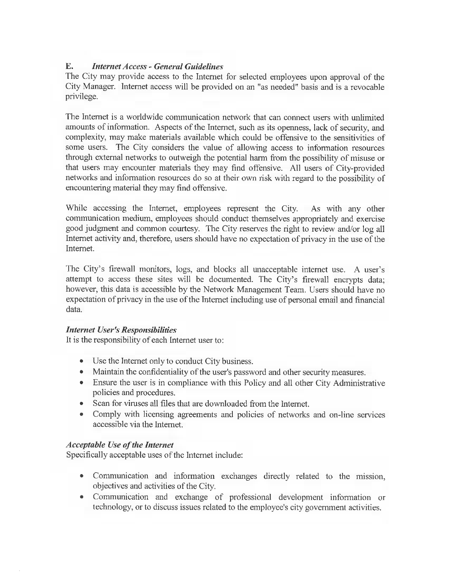#### E. Internet Access- General Guidelines

The City may provide access to the Internet for selected employees upon approval of the City Manager. Internet access will be provided on an " as needed" basis and is <sup>a</sup> revocable privilege.

The Internet is a worldwide communication network that can connect users with unlimited amounts of information. Aspects of the Internet, such as its openness, lack of security, and complexity, may make materials available which could be offensive to the sensitivities of some users. The City considers the value of allowing access to information resources through external networks to outweigh the potential harm from the possibility of misuse or that users may encounter materials they may find offensive. All users of City-provided networks and information resources do so at their own risk with regard to the possibility of encountering material they may find offensive.

While accessing the Internet, employees represent the City. As with any other communication medium, employees should conduct themselves appropriately and exercise good judgment and common courtesy. The City reserves the right to review and/or log all Internet activity and, therefore, users should have no expectation of privacy in the use of the Internet.

The City's firewall monitors, logs, and blocks all unacceptable internet use. A user's attempt to access these sites will be documented. The City's firewall encrypts data; however, this data is accessible by the Network Management Team. Users should have no expectation of privacy in the use of the Internet including use of personal email and financial data.

#### **Internet User's Responsibilities**

It is the responsibility of each Internet user to:

- Use the Internet only to conduct City business.
- Maintain the confidentiality of the user's password and other security measures.
- Ensure the user is in compliance with this Policy and all other City Administrative policies and procedures.
- Scan for viruses all files that are downloaded from the Internet.
- Comply with licensing agreements and policies of networks and on-line services accessible via the Internet.

#### Acceptable Use of the Internet

Specifically acceptable uses of the Internet include:

- Communication and information exchanges directly related to the mission, objectives and activities of the City.
- Communication and exchange of professional development information or technology, or to discuss issues related to the employee's city government activities.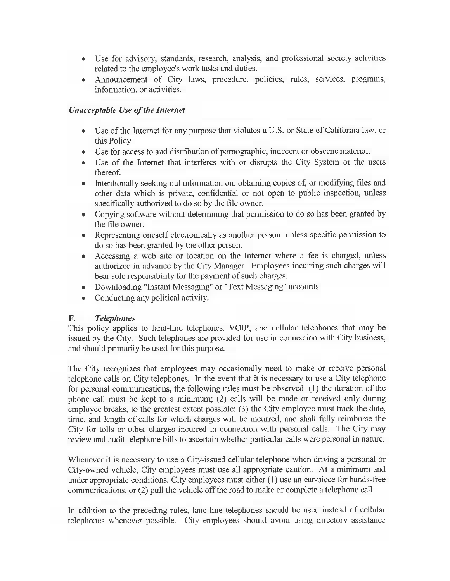- Use for advisory, standards, research, analysis, and professional society activities related to the employee's work tasks and duties.
- Announcement of City laws, procedure, policies, rules, services, programs,  $\bullet$ information, or activities.

## Unacceptable Use of the Internet

- Use of the Internet for any purpose that violates <sup>a</sup> U.S. or State of California law, or  $\bullet$ this Policy.
- Use for access to and distribution of pornographic, indecent or obscene material.
- Use of the Internet that interferes with or disrupts the City System or the users  $\bullet$ thereof.
- Intentionally seeking out information on, obtaining copies of, or modifying files and  $\bullet$ other data which is private, confidential or not open to public inspection, unless specifically authorized to do so by the file owner.
- Copying software without determining that permission to do so has been granted by  $\bullet$ the file owner.
- Representing oneself electronically as another person, unless specific permission to  $\bullet$ do so has been granted by the other person.
- Accessing a web site or location on the Internet where a fee is charged, unless authorized in advance by the City Manager. Employees incurring such charges will bear sole responsibility for the payment of such charges.
- Downloading "Instant Messaging" or "Text Messaging" accounts.
- Conducting any political activity.  $\bullet$

## F. Telephones

This policy applies to land- line telephones, VOIP, and cellular telephones that may be issued by the City. Such telephones are provided for use in connection with City business, and should primarily be used for this purpose.

The City recognizes that employees may occasionally need to make or receive personal telephone calls on City telephones. In the event that it is necessary to use a City telephone for personal communications, the following rules must be observed: ( 1) the duration of the phone call must be kept to a minimum; (2) calls will be made or received only during employee breaks, to the greatest extent possible; (3) the City employee must track the date, time, and length of calls for which charges will be incurred, and shall fully reimburse the City for tolls or other charges incurred in connection with personal calls. The City may review and audit telephone bills to ascertain whether particular calls were personal in nature.

Whenever it is necessary to use <sup>a</sup> City-issued cellular telephone when driving <sup>a</sup> personal or City-owned vehicle, City employees must use all appropriate caution. At a minimum and under appropriate conditions, City employees must either (1) use an ear-piece for hands-free communications, or (2) pull the vehicle off the road to make or complete a telephone call.

In addition to the preceding rules, land-line telephones should be used instead of cellular telephones whenever possible. City employees should avoid using directory assistance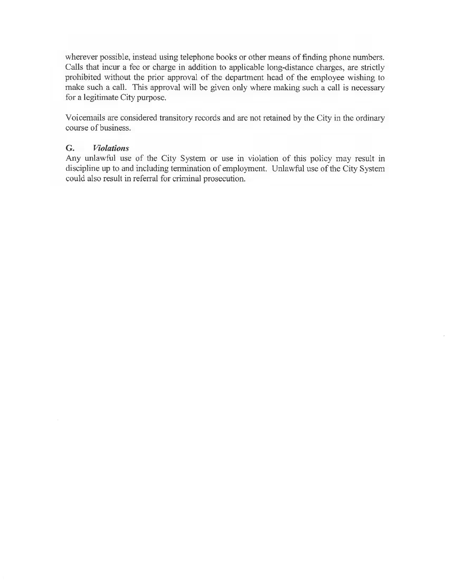wherever possible, instead using telephone books or other means of finding phone numbers. Calls that incur a fee or charge in addition to applicable long-distance charges, are strictly prohibited without the prior approval of the department head of the employee wishing to make such a call. This approval will be given only where making such a call is necessary for a legitimate City purpose.

Voicemails are considered transitory records and are not retained by the City in the ordinary course of business.

#### G. Violations

Any unlawful use of the City System or use in violation of this policy may result in discipline up to and including termination of employment. Unlawful use of the City System could also result in referral for criminal prosecution.